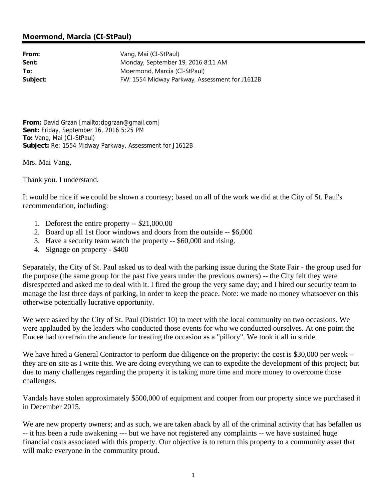## **Moermond, Marcia (CI-StPaul)**

**From:** Vang, Mai (CI-StPaul) Sent: Monday, September 19, 2016 8:11 AM **To:** Moermond, Marcia (CI-StPaul) **Subject:** FW: 1554 Midway Parkway, Assessment for J1612B

**From:** David Grzan [mailto:dpgrzan@gmail.com] **Sent:** Friday, September 16, 2016 5:25 PM **To:** Vang, Mai (CI-StPaul) **Subject:** Re: 1554 Midway Parkway, Assessment for J1612B

Mrs. Mai Vang,

Thank you. I understand.

It would be nice if we could be shown a courtesy; based on all of the work we did at the City of St. Paul's recommendation, including:

- 1. Deforest the entire property -- \$21,000.00
- 2. Board up all 1st floor windows and doors from the outside -- \$6,000
- 3. Have a security team watch the property -- \$60,000 and rising.
- 4. Signage on property \$400

Separately, the City of St. Paul asked us to deal with the parking issue during the State Fair - the group used for the purpose (the same group for the past five years under the previous owners) -- the City felt they were disrespected and asked me to deal with it. I fired the group the very same day; and I hired our security team to manage the last three days of parking, in order to keep the peace. Note: we made no money whatsoever on this otherwise potentially lucrative opportunity.

We were asked by the City of St. Paul (District 10) to meet with the local community on two occasions. We were applauded by the leaders who conducted those events for who we conducted ourselves. At one point the Emcee had to refrain the audience for treating the occasion as a "pillory". We took it all in stride.

We have hired a General Contractor to perform due diligence on the property: the cost is \$30,000 per week -they are on site as I write this. We are doing everything we can to expedite the development of this project; but due to many challenges regarding the property it is taking more time and more money to overcome those challenges.

Vandals have stolen approximately \$500,000 of equipment and cooper from our property since we purchased it in December 2015.

We are new property owners; and as such, we are taken aback by all of the criminal activity that has befallen us -- it has been a rude awakening --- but we have not registered any complaints -- we have sustained huge financial costs associated with this property. Our objective is to return this property to a community asset that will make everyone in the community proud.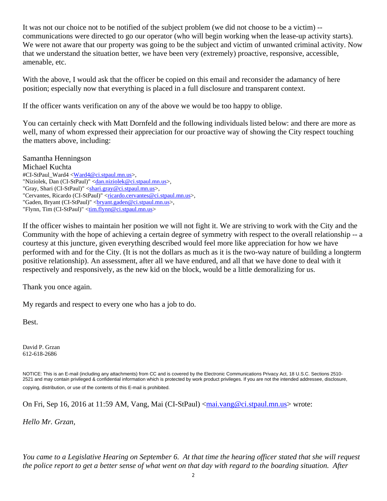It was not our choice not to be notified of the subject problem (we did not choose to be a victim) - communications were directed to go our operator (who will begin working when the lease-up activity starts). We were not aware that our property was going to be the subject and victim of unwanted criminal activity. Now that we understand the situation better, we have been very (extremely) proactive, responsive, accessible, amenable, etc.

With the above, I would ask that the officer be copied on this email and reconsider the adamancy of here position; especially now that everything is placed in a full disclosure and transparent context.

If the officer wants verification on any of the above we would be too happy to oblige.

You can certainly check with Matt Dornfeld and the following individuals listed below: and there are more as well, many of whom expressed their appreciation for our proactive way of showing the City respect touching the matters above, including:

Samantha Henningson Michael Kuchta #CI-StPaul\_Ward4 <Ward4@ci.stpaul.mn.us>, "Niziolek, Dan (CI-StPaul)" <dan.niziolek@ci.stpaul.mn.us>, "Gray, Shari (CI-StPaul)" <shari.gray@ci.stpaul.mn.us>, "Cervantes, Ricardo (CI-StPaul)" <ricardo.cervantes@ci.stpaul.mn.us>, "Gaden, Bryant (CI-StPaul)" < bryant.gaden@ci.stpaul.mn.us >, "Flynn, Tim (CI-StPaul)" <<u>tim.flynn@ci.stpaul.mn.us</u>>

If the officer wishes to maintain her position we will not fight it. We are striving to work with the City and the Community with the hope of achieving a certain degree of symmetry with respect to the overall relationship -- a courtesy at this juncture, given everything described would feel more like appreciation for how we have performed with and for the City. (It is not the dollars as much as it is the two-way nature of building a longterm positive relationship). An assessment, after all we have endured, and all that we have done to deal with it respectively and responsively, as the new kid on the block, would be a little demoralizing for us.

Thank you once again.

My regards and respect to every one who has a job to do.

Best.

David P. Grzan 612-618-2686

NOTICE: This is an E-mail (including any attachments) from CC and is covered by the Electronic Communications Privacy Act, 18 U.S.C. Sections 2510- 2521 and may contain privileged & confidential information which is protected by work product privileges. If you are not the intended addressee, disclosure, copying, distribution, or use of the contents of this E-mail is prohibited.

On Fri, Sep 16, 2016 at 11:59 AM, Vang, Mai (CI-StPaul) <mai.vang@ci.stpaul.mn.us> wrote:

*Hello Mr. Grzan,*

*You came to a Legislative Hearing on September 6. At that time the hearing officer stated that she will request the police report to get a better sense of what went on that day with regard to the boarding situation. After*